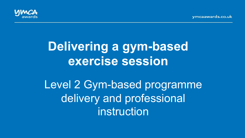vmcaawards.co.uk



# **Delivering a gym-based exercise session**

Level 2 Gym-based programme delivery and professional instruction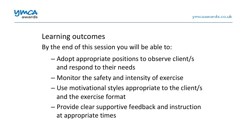

## Learning outcomes

By the end of this session you will be able to:

- $-$  Adopt appropriate positions to observe client/s and respond to their needs
- Monitor the safety and intensity of exercise
- $-$  Use motivational styles appropriate to the client/s and the exercise format
- $-$  Provide clear supportive feedback and instruction at appropriate times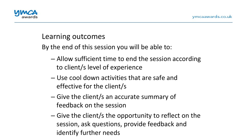

## Learning outcomes

By the end of this session you will be able to:

- $-$  Allow sufficient time to end the session according to client/s level of experience
- $-$  Use cool down activities that are safe and effective for the client/s
- $-$  Give the client/s an accurate summary of feedback on the session
- $-$  Give the client/s the opportunity to reflect on the session, ask questions, provide feedback and identify further needs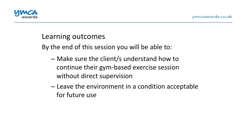

## Learning outcomes

By the end of this session you will be able to:

- $-$  Make sure the client/s understand how to continue their gym-based exercise session without direct supervision
- Leave the environment in a condition acceptable for future use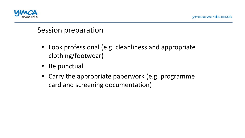

- Look professional (e.g. cleanliness and appropriate clothing/footwear)
- Be punctual
- Carry the appropriate paperwork (e.g. programme card and screening documentation)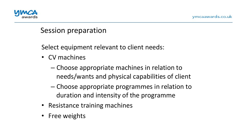

Select equipment relevant to client needs:

- CV machines
	- Choose appropriate machines in relation to needs/wants and physical capabilities of client
	- Choose appropriate programmes in relation to duration and intensity of the programme
- Resistance training machines
- Free weights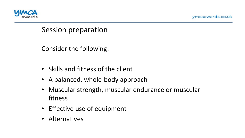



Consider the following:

- Skills and fitness of the client
- A balanced, whole-body approach
- Muscular strength, muscular endurance or muscular fitness
- Effective use of equipment
- Alternatives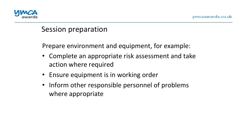

Prepare environment and equipment, for example:

- Complete an appropriate risk assessment and take action where required
- Ensure equipment is in working order
- Inform other responsible personnel of problems where appropriate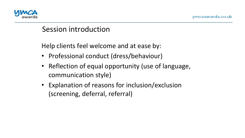

Help clients feel welcome and at ease by:

- Professional conduct (dress/behaviour)
- Reflection of equal opportunity (use of language, communication style)
- Explanation of reasons for inclusion/exclusion (screening, deferral, referral)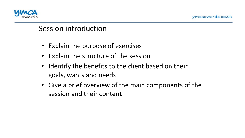

- Explain the purpose of exercises
- Explain the structure of the session
- Identify the benefits to the client based on their goals, wants and needs
- Give a brief overview of the main components of the session and their content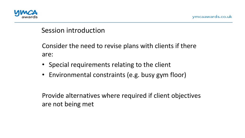

Consider the need to revise plans with clients if there are: 

- Special requirements relating to the client
- Environmental constraints (e.g. busy gym floor)

Provide alternatives where required if client objectives are not being met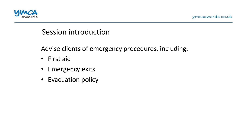

Advise clients of emergency procedures, including:

- First aid
- Emergency exits
- Evacuation policy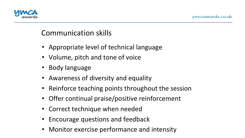

# Communication skills

- Appropriate level of technical language
- Volume, pitch and tone of voice
- Body language
- Awareness of diversity and equality
- Reinforce teaching points throughout the session
- Offer continual praise/positive reinforcement
- Correct technique when needed
- Encourage questions and feedback
- Monitor exercise performance and intensity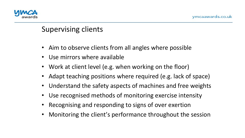

# Supervising clients

- Aim to observe clients from all angles where possible
- Use mirrors where available
- Work at client level (e.g. when working on the floor)
- Adapt teaching positions where required (e.g. lack of space)
- Understand the safety aspects of machines and free weights
- Use recognised methods of monitoring exercise intensity
- Recognising and responding to signs of over exertion
- Monitoring the client's performance throughout the session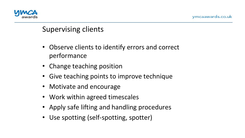

# Supervising clients

- Observe clients to identify errors and correct performance
- Change teaching position
- Give teaching points to improve technique
- Motivate and encourage
- Work within agreed timescales
- Apply safe lifting and handling procedures
- Use spotting (self-spotting, spotter)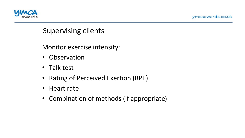



#### Supervising clients

Monitor exercise intensity:

- Observation
- Talk test
- Rating of Perceived Exertion (RPE)
- Heart rate
- Combination of methods (if appropriate)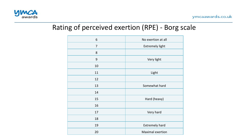

#### Rating of perceived exertion (RPE) - Borg scale

| 6              | No exertion at all      |
|----------------|-------------------------|
| $\overline{7}$ | <b>Extremely light</b>  |
| 8              |                         |
| 9              | Very light              |
| 10             |                         |
| 11             | Light                   |
| 12             |                         |
| 13             | Somewhat hard           |
| 14             |                         |
| 15             | Hard (heavy)            |
| 16             |                         |
| 17             | Very hard               |
| 18             |                         |
| 19             | <b>Extremely hard</b>   |
| 20             | <b>Maximal exertion</b> |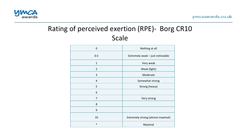

# Rating of perceived exertion (RPE)- Borg CR10 Scale

| $\mathbf 0$    | Nothing at all                    |
|----------------|-----------------------------------|
| 0.5            | Extremely weak - just noticeable  |
| $\mathbf{1}$   | Very weak                         |
| $\overline{2}$ | Weak (light)                      |
| 3              | Moderate                          |
| $\overline{4}$ | Somewhat strong                   |
| 5              | Strong (heavy)                    |
| 6              |                                   |
| 7              | Very strong                       |
| 8              |                                   |
| 9              |                                   |
| 10             | Extremely strong (almost maximal) |
| $\ast$         | Maximal                           |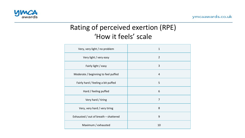

# Rating of perceived exertion (RPE) 'How it feels' scale

| Very, very light / no problem         | $\mathbf{1}$   |
|---------------------------------------|----------------|
| Very light / very easy                | $\overline{2}$ |
| Fairly light / easy                   | 3              |
| Moderate / beginning to feel puffed   | $\overline{4}$ |
| Fairly hard / feeling a bit puffed    | 5              |
| Hard / feeling puffed                 | 6              |
| Very hard / tiring                    | $\overline{7}$ |
| Very, very hard / very tiring         | 8              |
| Exhausted / out of breath - shattered | 9              |
| Maximum / exhausted                   | 10             |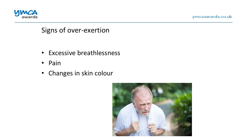

ymcaawards.co.uk

#### Signs of over-exertion

- Excessive breathlessness
- Pain
- Changes in skin colour

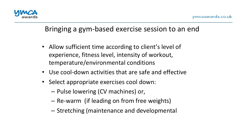

# Bringing a gym-based exercise session to an end

- Allow sufficient time according to client's level of experience, fitness level, intensity of workout, temperature/environmental conditions
- Use cool-down activities that are safe and effective
- Select appropriate exercises cool down:
	- $-$  Pulse lowering (CV machines) or,
	- Re-warm (if leading on from free weights)
	- $-$  Stretching (maintenance and developmental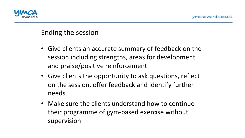

#### Ending the session

- Give clients an accurate summary of feedback on the session including strengths, areas for development and praise/positive reinforcement
- Give clients the opportunity to ask questions, reflect on the session, offer feedback and identify further needs
- Make sure the clients understand how to continue their programme of gym-based exercise without supervision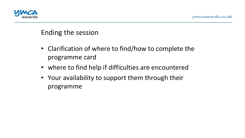

#### Ending the session

- Clarification of where to find/how to complete the programme card
- where to find help if difficulties are encountered
- Your availability to support them through their programme